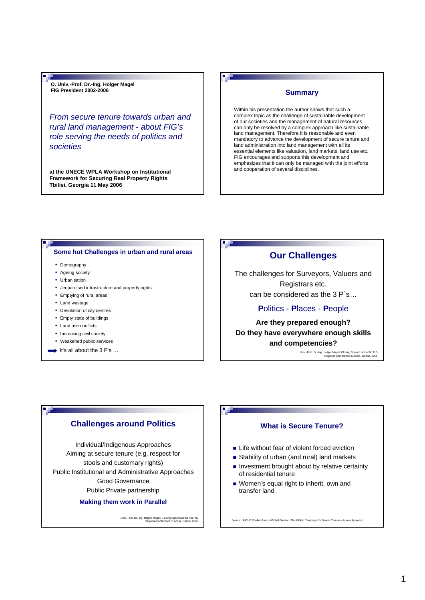**O. Univ.-Prof. Dr.-Ing. Holger Magel FIG President 2002-2006 Summary** 

*From secure tenure towards urban and rural land management - about FIG's role serving the needs of politics and societies*

**at the UNECE WPLA Workshop on Institutional Framework for Securing Real Property Rights Tbilisi, Georgia 11 May 2006**

Within his presentation the author shows that such a complex topic as the challenge of sustainable development of our societies and the management of natural resources can only be resolved by a complex approach like sustainable land management. Therefore it is reasonable and even mandatory to advance the development of secure tenure and land administration into land management with all its essential elements like valuation, land markets, land use etc. FIG encourages and supports this development and emphasizes that it can only be managed with the joint efforts and cooperation of several disciplines.

#### **Some hot Challenges in urban and rural areas**

• Demography

. The

- Ageing society
- Urbanisation
- Jeopardised infrastructure and property rights
- Emptying of rural areas
- Land wastage
- Desolation of city centres
- Empty state of buildings
- Land use conflicts
- Increasing civil society
- Weakened public services
- It's all about the  $3 P's ...$

# **Our Challenges**

The challenges for Surveyors, Valuers and Registrars etc. can be considered as the 3 P`s…

## **P**olitics - **P**laces - **P**eople

**Are they prepared enough? Do they have everywhere enough skills and competencies?**

Univ.-Prof. Dr.-Ing. Holger Magel: Closing Speech at the 5th FIG Regional Conference in Accra, Ghana, 2006

## **Challenges around Politics**

Individual/Indigenous Approaches Aiming at secure tenure (e.g. respect for stools and customary rights) Public Institutional and Administrative Approaches Good Governance Public Private partnership

**Making them work in Parallel**

Univ.-Prof. Dr.-Ing. Holger Magel: Closing Speech at the 5th FIG Regional Conference in Accra, Ghana, 2006

## **What is Secure Tenure?**

- **Life without fear of violent forced eviction**
- Stability of urban (and rural) land markets
- $\blacksquare$  Investment brought about by relative certainty of residential tenure
- **Women's equal right to inherit, own and** transfer land

s: UNCHS Shelter-Branch-Global Division: The Global Campaign for Secure Tenure – A New Ap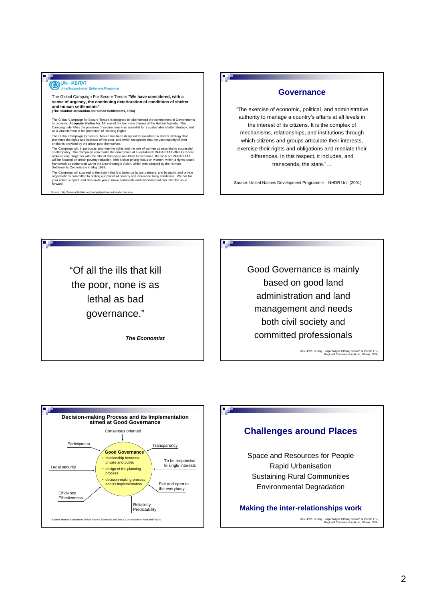# UN-HABITAT

#### The Global Campaign For Secure Tenure **"We have considered, with a sense of urgency, the continuing deterioration of conditions of shelter and human settlements"**

**(The Istanbul Declaration on Human Settlements, 1996)** 

The Global Campaign for Secure Tenure is designed to take forward the commitment of Governments<br>to providing **Adequate Shelter for All**, one of the two main themes of the Habitat Agenda. The<br>Campaign identifies the provisi as a vital element in the promotion of Housing Rights.

The Global Campaign for Secure Tenure has been designed to spearhead a shelter strategy that<br>promotes the rights and interests of the poor, and which recognises that the vast majority of their<br>shelter is provided by the ur

The Campaign will succeed to the extent that it is taken up by our partners, and by public and private<br>organisations committed to ridding our planet of poverty and inhumane living conditions. We call for<br>your active suppor

Source: http://www.unhabitat.org/campaigns/tenure/introduction.asp

۳.

# **Governance**

"The exercise of economic, political, and administrative authority to manage a country's affairs at all levels in the interest of its citizens. It is the complex of mechanisms, relationships, and institutions through which citizens and groups articulate their interests, exercise their rights and obligations and mediate their differences. In this respect, it includes, and transcends, the state."…

Source: United Nations Development Programme – NHDR Unit (2001)

"Of all the ills that kill the poor, none is as lethal as bad governance."

*The Economist*

Good Governance is mainly based on good land administration and land management and needs both civil society and committed professionals

Univ.-Prof. Dr.-Ing. Holger Magel: Closing Speech at the 5th FIG Regional Conference in Accra, Ghana, 2006



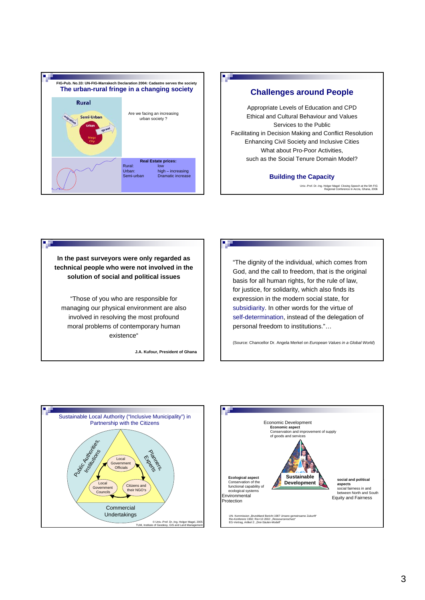



Univ.-Prof. Dr.-Ing. Holger Magel: Closing Speech at the 5th FIG Regional Conference in Accra, Ghana, 2006

**In the past surveyors were only regarded as technical people who were not involved in the solution of social and political issues**

a d

"Those of you who are responsible for managing our physical environment are also involved in resolving the most profound moral problems of contemporary human existence"

**J.A. Kufour, President of Ghana**

"The dignity of the individual, which comes from God, and the call to freedom, that is the original basis for all human rights, for the rule of law, for justice, for solidarity, which also finds its expression in the modern social state, for subsidiarity. In other words for the virtue of self-determination, instead of the delegation of personal freedom to institutions."…

(Source: Chancellor Dr. Angela Merkel on *European Values in a Global World*)



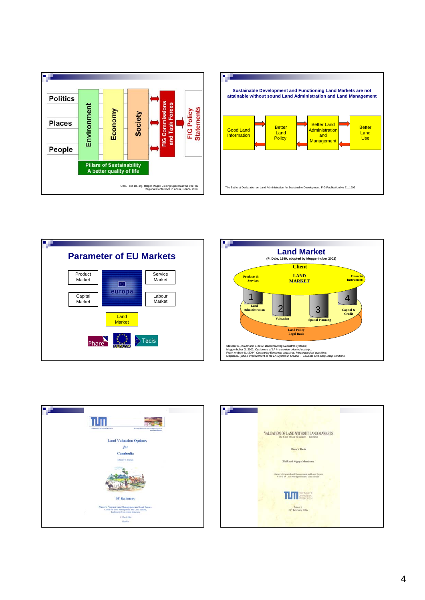









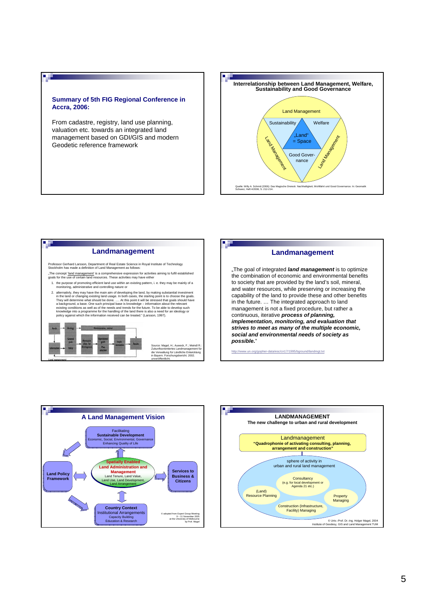### **Summary of 5th FIG Regional Conference in Accra, 2006:**

a di

<u>ال ال</u>

From cadastre, registry, land use planning, valuation etc. towards an integrated land management based on GDI/GIS and modern Geodetic reference framework



# **Landmanagement**

Professor Gerhard Larsson, Department of Real Estate Science in Royal Institute of Technology Stockholm has made a definition of Land Management as follows:

"The concept '<u>land management'</u> is a comprehensive expression for activities aiming to fulfil established<br>goals for the use of certain land resources. These activities may have either

1. the purpose of promoting efficient land use within an existing pattern, i. e. they may be mainly of a monitoring, administrative and controlling nature or 2. alternativly, they may have the main aim of developing the land, by matiga substantial linvestment<br>in the land or changing existing land usage. In both cases, the starting point is to choose the goals.<br>They will determ



Source: Magel, H.; Auweck, F.; Meindl R.: Zukunftsorientiertes Landmanagement für die Verwaltung für Ländliche Entwicklung in Bayern. Forschungsbericht. 2002.

unveröffentlicht.

# **Landmanagement**

"The goal of integrated *land management* is to optimize the combination of economic and environmental benefits to society that are provided by the land's soil, mineral, and water resources, while preserving or increasing the capability of the land to provide these and other benefits in the future. … The integrated approach to land management is not a fixed procedure, but rather a continuous, iterative *process of planning, implementation, monitoring, and evaluation that strives to meet as many of the multiple economic, social and environmental needs of society as possible.*"

sc/cn17/1995/bground/landmgt.txt



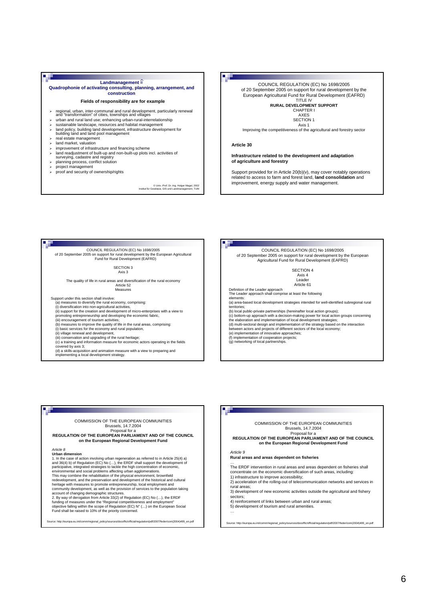#### **DE**

#### **Landmanagement**  $\stackrel{\frown}{=}$ **Quadrophonie of activating consulting, planning, arrangement, and construction**

#### **Fields of responsibility are for example**

- ¾ regional, urban, inter-communal and rural development, particularly renewal and "transformation" of cities, townships and villages ¾ urban and rural land use; enhancing urban-rural-interrelationship
	- sustainable landscape, resources and habitat management
- ¾ land policy, building land development, infrastructure development for building land and land pool management
- real estate management
- land market, valuation
- improvement of infrastructure and financing scheme
- ¾ land readjustment of built-up and non-built-up plots incl. activities of surveying, cadastre and registry ¾ planning process, conflict solution
- 
- project management

п.

¾ proof and security of ownership/rights

© Univ.-Prof. Dr.-Ing. Holger Magel, 2002 Institut für Geodäsie, GIS und Landmanagement, TUM

# COUNCIL REGULATION (EC) No 1698/2005

of 20 September 2005 on support for rural development by the European Agricultural Fund for Rural Development (EAFRD) TITLE IV

#### **RURAL DEVELOPMENT SUPPORT** CHAPTER I AXES

SECTION<sub>1</sub> Axis 1

Improving the competitiveness of the agricultural and forestry sector

#### **Article 30**

П

**Infrastructure related to the development and adaptation of agriculture and forestry**

Support provided for in Article 20(b)(v), may cover notably operations related to access to farm and forest land, **land consolidation** and improvement, energy supply and water management.

COUNCIL REGULATION (EC) No 1698/2005 of 20 September 2005 on support for rural development by the European Agricultural Fund for Rural Development (EAFRD)

SECTION 3

Axis 3

The quality of life in rural areas and diversification of the rural economy Article 52 Measures

Support under this section shall involve:

(a) measures to diversify the rural economy, comprising:

(i) diversification into non-agricultural activities, (ii) support for the creation and development of micro-enterprises with a view to

- 
- 

promoting entrepreneurship and developing the economic fabric,<br>(iii) encouragement of tourism activities;<br>(b) measures to improve the quality of life in the rural areas, comprising:

(i) basic services for the economy and rural population,

(ii) village renewal and development,<br>(iii) conservation and upgrading of the rural heritage;<br>(c) a training and information measure for economic actors operating in the fields

covered by axis 3;

(d) a skills-acquisition and animation measure with a view to preparing and implementing a local development strategy.

#### COUNCIL REGULATION (EC) No 1698/2005 of 20 September 2005 on support for rural development by the European Agricultural Fund for Rural Development (EAFRD)

SECTION 4 Axis 4 Leade Article 61

Definition of the Leader approach The Leader approach shall comprise at least the following

- elements: (a) area-based local development strategies intended for well-identified subregional rural territories;
- 
- (b) local public-private partnerships (hereinafter local action groups);<br>(c) bottom-up approach with a decision-making power for local action groups concerning<br>the elaboration and implementation of local development strate
- 
- 
- between actors and projects of different sectors of the local economy; (e) implementation of innovative approaches; (f) implementation of cooperation projects; (g) networking of local partnerships.

#### COMMISSION OF THE EUROPEAN COMMUNITIES Brussels, 14.7.2004 Proposal for a

**REGULATION OF THE EUROPEAN PARLIAMENT AND OF THE COUNCIL on the European Regional Development Fund**

#### *Article 8*

۳.

**Urban dimension**<br>1. In the case of action involving urban regeneration as referred to in Article 25(4) a)<br>and 36(4) b) of Regulation (EC) No (…), the ERDF shall support the development of participative, integrated strategies to tackle the high concentration of economic,<br>environmental and social problems affecting urban agglomerations.<br>This may combine the rehabilitation of the physical environment, brownfie community development, as well as the provision of services to the population taking

account of changing demographic structures.<br>2. By way of derogation from Article 33(2) of Regulation (EC) No (…), the ERDF<br>funding of measures under the "Regional competitiveness and employment"<br>objective falling within th

Source: http://europa.eu.int/comm/regional\_policy/sources/docoffic/official/regulation/pdf/2007/feder/com(2004)495\_en.pdf

COMMISSION OF THE EUROPEAN COMMUNITIES

#### Brussels, 14.7.2004

Proposal for a<br>REGULATION OF THE EUROPEAN PARLIAMENT AND OF THE COUNCIL **on the European Regional Development Fund**

*Article 9*

**Rural areas and areas dependent on fisheries**

… The ERDF intervention in rural areas and areas dependent on fisheries shall concentrate on the economic diversification of such areas, including:

1) infrastructure to improve accessibility;

2) acceleration of the rolling-out of telecommunication networks and services in rural areas;

urce: http://europa.eu.int/comm/regional\_policy/sources/docoffic/official/regulation/pdf/2007/feder/com(2004)495\_en.pdf

3) development of new economic activities outside the agricultural and fishery sectors; 4) reinforcement of links between urban and rural areas;

5) development of tourism and rural amenities.

…